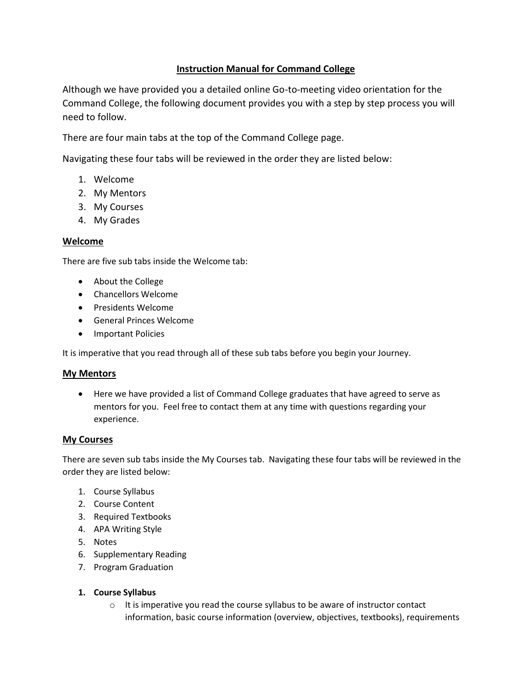# **Instruction Manual for Command College**

Although we have provided you a detailed online Go-to-meeting video orientation for the Command College, the following document provides you with a step by step process you will need to follow.

There are four main tabs at the top of the Command College page.

Navigating these four tabs will be reviewed in the order they are listed below:

- 1. Welcome
- 2. My Mentors
- 3. My Courses
- 4. My Grades

### **Welcome**

There are five sub tabs inside the Welcome tab:

- About the College
- Chancellors Welcome
- Presidents Welcome
- General Princes Welcome
- Important Policies

It is imperative that you read through all of these sub tabs before you begin your Journey.

#### **My Mentors**

• Here we have provided a list of Command College graduates that have agreed to serve as mentors for you. Feel free to contact them at any time with questions regarding your experience.

#### **My Courses**

There are seven sub tabs inside the My Courses tab. Navigating these four tabs will be reviewed in the order they are listed below:

- 1. Course Syllabus
- 2. Course Content
- 3. Required Textbooks
- 4. APA Writing Style
- 5. Notes
- 6. Supplementary Reading
- 7. Program Graduation
- **1. Course Syllabus**
	- o It is imperative you read the course syllabus to be aware of instructor contact information, basic course information (overview, objectives, textbooks), requirements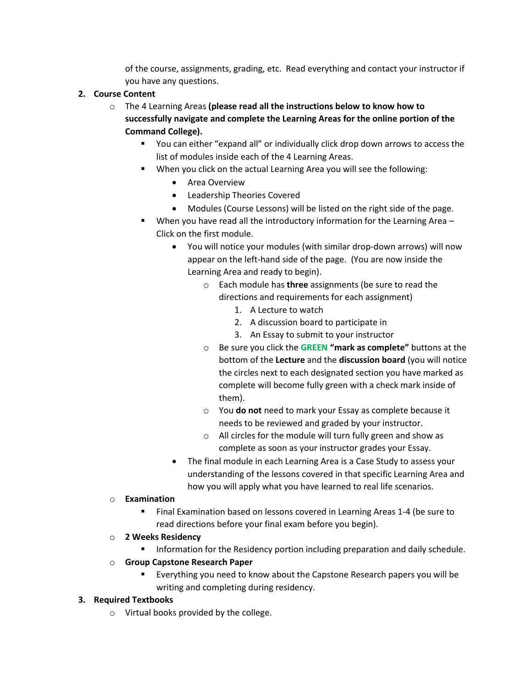of the course, assignments, grading, etc. Read everything and contact your instructor if you have any questions.

### **2. Course Content**

- o The 4 Learning Areas **(please read all the instructions below to know how to successfully navigate and complete the Learning Areas for the online portion of the Command College).**
	- You can either "expand all" or individually click drop down arrows to access the list of modules inside each of the 4 Learning Areas.
	- When you click on the actual Learning Area you will see the following:
		- Area Overview
		- Leadership Theories Covered
		- Modules (Course Lessons) will be listed on the right side of the page.
	- When you have read all the introductory information for the Learning Area Click on the first module.
		- You will notice your modules (with similar drop-down arrows) will now appear on the left-hand side of the page. (You are now inside the Learning Area and ready to begin).
			- o Each module has **three** assignments (be sure to read the directions and requirements for each assignment)
				- 1. A Lecture to watch
				- 2. A discussion board to participate in
				- 3. An Essay to submit to your instructor
			- o Be sure you click the **GREEN "mark as complete"** buttons at the bottom of the **Lecture** and the **discussion board** (you will notice the circles next to each designated section you have marked as complete will become fully green with a check mark inside of them).
			- o You **do not** need to mark your Essay as complete because it needs to be reviewed and graded by your instructor.
			- o All circles for the module will turn fully green and show as complete as soon as your instructor grades your Essay.
		- The final module in each Learning Area is a Case Study to assess your understanding of the lessons covered in that specific Learning Area and how you will apply what you have learned to real life scenarios.

### o **Examination**

- Final Examination based on lessons covered in Learning Areas 1-4 (be sure to read directions before your final exam before you begin).
- o **2 Weeks Residency**
	- Information for the Residency portion including preparation and daily schedule.
- o **Group Capstone Research Paper**
	- Everything you need to know about the Capstone Research papers you will be writing and completing during residency.

### **3. Required Textbooks**

o Virtual books provided by the college.